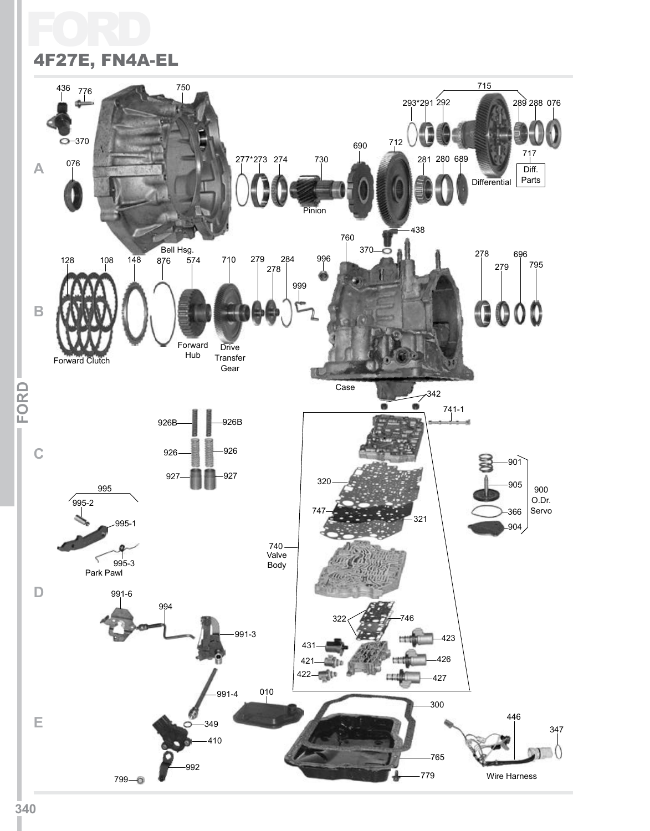## FC 4F27E, FN4A-EL